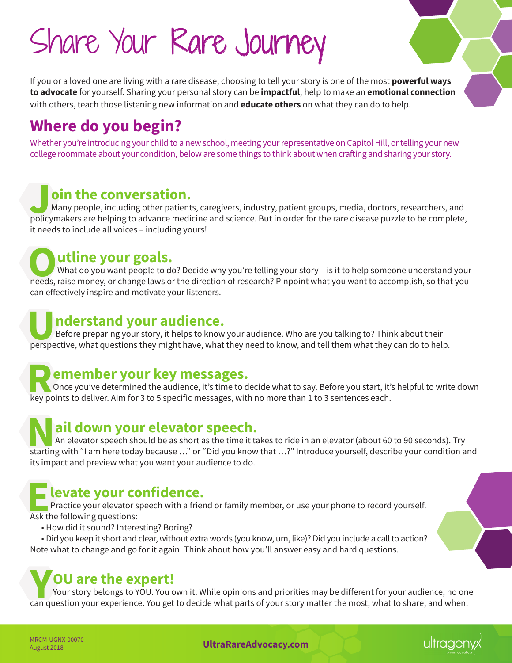# Share Your Rare Journey

If you or a loved one are living with a rare disease, choosing to tell your story is one of the most **powerful ways to advocate** for yourself. Sharing your personal story can be **impactful**, help to make an **emotional connection** with others, teach those listening new information and **educate others** on what they can do to help.

# **Where do you begin?**

Whether you're introducing your child to a new school, meeting your representative on Capitol Hill, or telling your new college roommate about your condition, below are some things to think about when crafting and sharing your story.

### **Join the conversation.**

Many people, including other patients, caregivers, industry, patient groups, media, doctors, researchers, and policymakers are helping to advance medicine and science. But in order for the rare disease puzzle to be complete, it needs to include all voices – including yours!

**Outline your goals.**<br>
What do you want people to do? Decide why you're telling your story – is it to help someone understand your<br>
needs, raise money, or change laws or the direction of research? Pinpoint what you want to What do you want people to do? Decide why you're telling your story – is it to help someone understand your can effectively inspire and motivate your listeners.

### **Understand your audience.**

Before preparing your story, it helps to know your audience. Who are you talking to? Think about their perspective, what questions they might have, what they need to know, and tell them what they can do to help.

### **Remember your key messages.**

Once you've determined the audience, it's time to decide what to say. Before you start, it's helpful to write down key points to deliver. Aim for 3 to 5 specific messages, with no more than 1 to 3 sentences each.

### **Nail down your elevator speech.**

An elevator speech should be as short as the time it takes to ride in an elevator (about 60 to 90 seconds). Try starting with "I am here today because …" or "Did you know that …?" Introduce yourself, describe your condition and its impact and preview what you want your audience to do.

### **Elevate your confidence.**

**Practice your elevator speech with a friend or family member, or use your phone to record yourself.** Ask the following questions:

• How did it sound? Interesting? Boring?

• Did you keep it short and clear, without extra words (you know, um, like)? Did you include a call to action? Note what to change and go for it again! Think about how you'll answer easy and hard questions.

## **YOU are the expert!**

Your story belongs to YOU. You own it. While opinions and priorities may be different for your audience, no one can question your experience. You get to decide what parts of your story matter the most, what to share, and when.

MRCM-UGNX-00070<br>August 2018

**UltraRareAdvocacy.com**